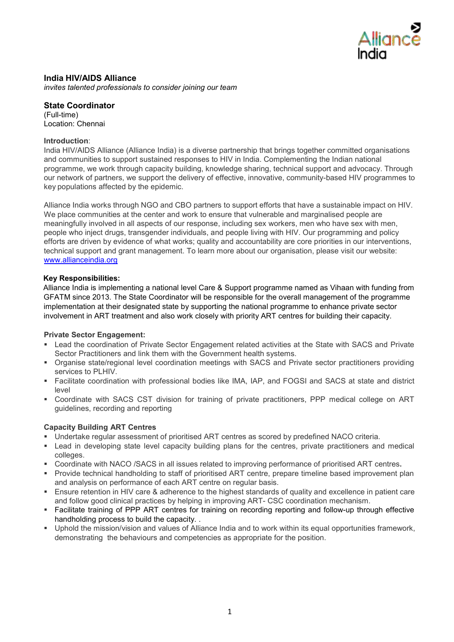

# **India HIV/AIDS Alliance**

*invites talented professionals to consider joining our team*

**State Coordinator** (Full-time) Location: Chennai

## **Introduction**:

India HIV/AIDS Alliance (Alliance India) is a diverse partnership that brings together committed organisations and communities to support sustained responses to HIV in India. Complementing the Indian national programme, we work through capacity building, knowledge sharing, technical support and advocacy. Through our network of partners, we support the delivery of effective, innovative, community-based HIV programmes to key populations affected by the epidemic.

Alliance India works through NGO and CBO partners to support efforts that have a sustainable impact on HIV. We place communities at the center and work to ensure that vulnerable and marginalised people are meaningfully involved in all aspects of our response, including sex workers, men who have sex with men, people who inject drugs, transgender individuals, and people living with HIV. Our programming and policy efforts are driven by evidence of what works; quality and accountability are core priorities in our interventions, technical support and grant management. To learn more about our organisation, please visit our website: [www.allianceindia.org](http://www.allianceindia.org/)

## **Key Responsibilities:**

Alliance India is implementing a national level Care & Support programme named as Vihaan with funding from GFATM since 2013. The State Coordinator will be responsible for the overall management of the programme implementation at their designated state by supporting the national programme to enhance private sector involvement in ART treatment and also work closely with priority ART centres for building their capacity.

## **Private Sector Engagement:**

- Lead the coordination of Private Sector Engagement related activities at the State with SACS and Private Sector Practitioners and link them with the Government health systems.
- Organise state/regional level coordination meetings with SACS and Private sector practitioners providing services to PLHIV.
- Facilitate coordination with professional bodies like IMA, IAP, and FOGSI and SACS at state and district level
- Coordinate with SACS CST division for training of private practitioners, PPP medical college on ART guidelines, recording and reporting

## **Capacity Building ART Centres**

- Undertake regular assessment of prioritised ART centres as scored by predefined NACO criteria.
- Lead in developing state level capacity building plans for the centres, private practitioners and medical colleges.
- Coordinate with NACO /SACS in all issues related to improving performance of prioritised ART centres**.**
- Provide technical handholding to staff of prioritised ART centre, prepare timeline based improvement plan and analysis on performance of each ART centre on regular basis.
- Ensure retention in HIV care & adherence to the highest standards of quality and excellence in patient care and follow good clinical practices by helping in improving ART- CSC coordination mechanism.
- Facilitate training of PPP ART centres for training on recording reporting and follow-up through effective handholding process to build the capacity. .
- Uphold the mission/vision and values of Alliance India and to work within its equal opportunities framework, demonstrating the behaviours and competencies as appropriate for the position.